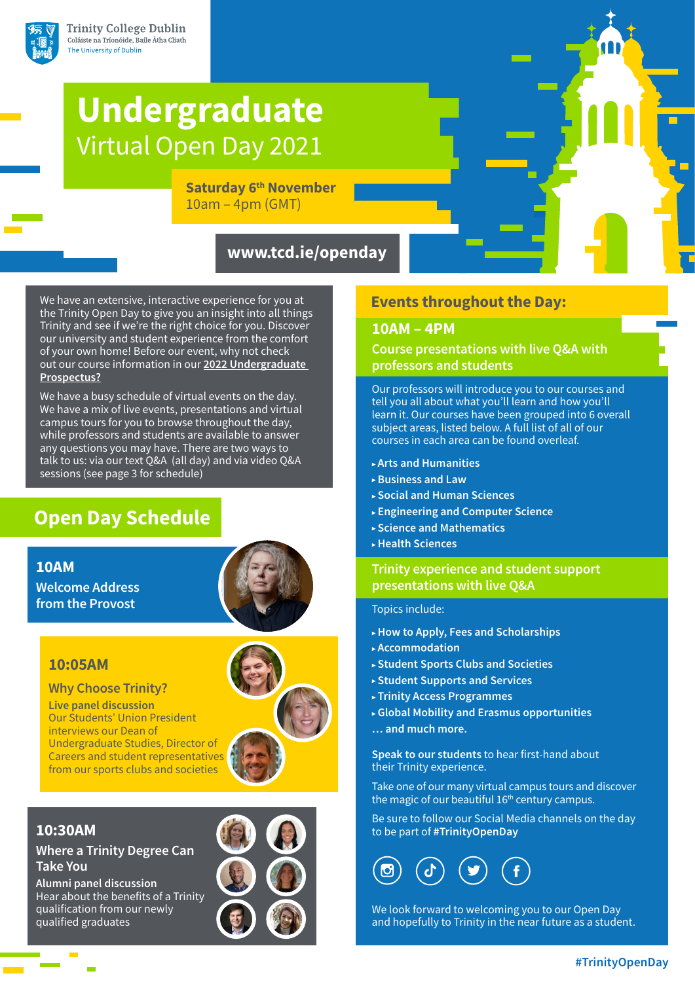

# **Undergraduate** Virtual Open Day 2021

**Saturday 6<sup>th</sup> November** 10am – 4pm (GMT)

# **www.tcd.ie/openday**

We have an extensive, interactive experience for you at the Trinity Open Day to give you an insight into all things Trinity and see if we're the right choice for you. Discover our university and student experience from the comfort of your own home! Before our event, why not check out our course information in our **[2022 Undergraduate](http://www.tcd.ie/study/prospectus)  [Prospectus?](http://www.tcd.ie/study/prospectus)**

We have a busy schedule of virtual events on the day. We have a mix of live events, presentations and virtual campus tours for you to browse throughout the day, while professors and students are available to answer any questions you may have. There are two ways to talk to us: via our text Q&A (all day) and via video Q&A sessions (see page 3 for schedule)

# **Open Day Schedule**

# **10AM**

**Welcome Address from the Provost** 



# **10:05AM**

**Why Choose Trinity?** 

**Live panel discussion** Our Students' Union President interviews our Dean of Undergraduate Studies, Director of Careers and student representatives from our sports clubs and societies



# **10:30AM**

**Where a Trinity Degree Can Take You**

**Alumni panel discussion** Hear about the benefits of a Trinity qualification from our newly qualified graduates

# **Events throughout the Day:**

### **10AM – 4PM**

# **Course presentations with live Q&A with professors and students**

Our professors will introduce you to our courses and tell you all about what you'll learn and how you'll learn it. Our courses have been grouped into 6 overall subject areas, listed below. A full list of all of our courses in each area can be found overleaf.

- ▶ **Arts and Humanities**
- ▶ **Business and Law**
- ▶ **Social and Human Sciences**
- ▶ **Engineering and Computer Science**
- ▶ **Science and Mathematics**
- ▶ **Health Sciences**

# **Trinity experience and student support presentations with live Q&A**

#### Topics include:

- ▶ **How to Apply, Fees and Scholarships**
- ▶ **Accommodation**
- ▶ **Student Sports Clubs and Societies**
- ▶ **Student Supports and Services**
- ▶ **Trinity Access Programmes**
- ▶ **Global Mobility and Erasmus opportunities**
- **… and much more.**

**Speak to our students** to hear first-hand about their Trinity experience.

Take one of our many virtual campus tours and discover the magic of our beautiful 16<sup>th</sup> century campus.

Be sure to follow our Social Media channels on the day to be part of **#TrinityOpenDay**



We look forward to welcoming you to our Open Day and hopefully to Trinity in the near future as a student.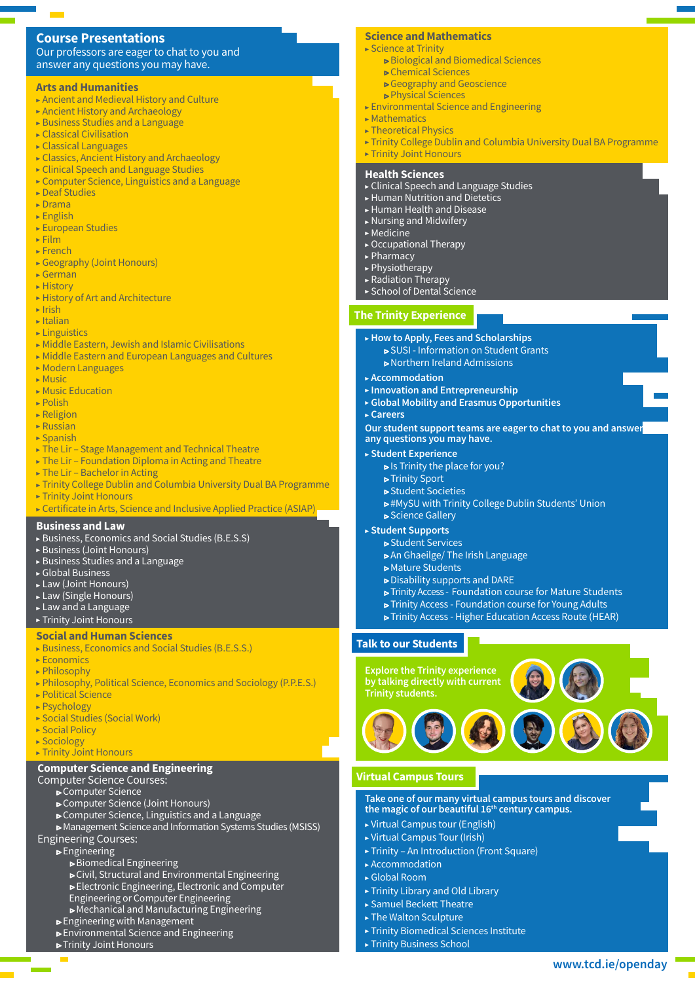### **Course Presentations**

Our professors are eager to chat to you and answer any questions you may have.

#### **Arts and Humanities**

- ▶ Ancient and Medieval History and Culture
- ▶ Ancient History and Archaeology
- $\triangleright$  Business Studies and a Language
- $\triangleright$  Classical Civilisation
- ▶ Classical Languages
- ▶ Classics, Ancient History and Archaeology
- ▶ Clinical Speech and Language Studies
- ▶ Computer Science, Linguistics and a Language
- ▶ Deaf Studies
- ▶ Drama
- $\blacktriangleright$  English
- ▶ European Studies
- $\triangleright$  Film
- ▶ French
- ▶ Geography (Joint Honours)
- $\blacktriangleright$  German ▶ History
- 
- ▶ History of Art and Architecture
- $\blacktriangleright$  Irish  $\blacktriangleright$  Italian
- ▶ Linguistics
- $\triangleright$  Middle Eastern, Jewish and Islamic Civilisations
- ▶ Middle Eastern and European Languages and Cultures
- ▶ Modern Languages
- ▶ Music
- ▶ Music Education
- $\triangleright$  Polish
- $\triangleright$  Religion
- $\triangleright$  Russian
- $\blacktriangleright$  Spanish
- ▶ The Lir Stage Management and Technical Theatre
- ▶ The Lir Foundation Diploma in Acting and Theatre
- ▶ The Lir Bachelor in Acting
- ▶ Trinity College Dublin and Columbia University Dual BA Programme
- ▶ Trinity Joint Honours
- ▶ Certificate in Arts, Science and Inclusive Applied Practice (ASIAP)
- **Business and Law**
- ▶ Business, Economics and Social Studies (B.E.S.S)
- ▶ Business (Joint Honours)
- ▶ Business Studies and a Language
- ▶ Global Business
- ▶ Law (Joint Honours)
- ▶ Law (Single Honours)
- ▶ Law and a Language

#### ▶ Trinity Joint Honours

#### **Social and Human Sciences**

- ▶ Business, Economics and Social Studies (B.E.S.S.)
- $\triangleright$  Economics
- ▶ Philosophy
- ▶ Philosophy, Political Science, Economics and Sociology (P.P.E.S.)
- ▶ Political Science
- ▶ Psychology
- ▶ Social Studies (Social Work)
- ▶ Social Policy
- ▶ Sociology
- ▶ Trinity Joint Honours

#### **Computer Science and Engineering**

#### Computer Science Courses:

- ▶ Computer Science
- ▶ Computer Science (Joint Honours)
- ▶ Computer Science, Linguistics and a Language
- ▶ Management Science and Information Systems Studies (MSISS)
- Engineering Courses:
	- ▶ Engineering
		- ▶ Biomedical Engineering
		- ▶ Civil, Structural and Environmental Engineering
		- ▶ Electronic Engineering, Electronic and Computer
		- Engineering or Computer Engineering
		- ▶ Mechanical and Manufacturing Engineering
	- ▶ Engineering with Management
	- ▶ Environmental Science and Engineering
	- ▶ Trinity Joint Honours

#### **Science and Mathematics**

- ▶ Science at Trinity
	- ▶ Biological and Biomedical Sciences
	- ▶ Chemical Sciences
		- ▶ Geography and Geoscience
	- ▶ Physical Sciences
- $\triangleright$  Environmental Science and Engineering
- $\blacktriangleright$  Mathematics
- ▶ Theoretical Physics
- ▶ Trinity College Dublin and Columbia University Dual BA Programme
- ▶ Trinity Joint Honours

#### **Health Sciences**

- ▶ Clinical Speech and Language Studies
- ▶ Human Nutrition and Dietetics
- ▶ Human Health and Disease
- ▶ Nursing and Midwifery
- $\blacktriangleright$  Medicine
- ▶ Occupational Therapy
- ▶ Pharmacy
- ▶ Physiotherapy
- ▶ Radiation Therapy
- ▶ School of Dental Science

#### **The Trinity Experience**

▶ **Accommodation** 

▶ **Careers** 

- ▶ **How to Apply, Fees and Scholarships**
	- ▶ SUSI Information on Student Grants

▶ **Global Mobility and Erasmus Opportunities**

**Our student support teams are eager to chat to you and answer** 

▶ #MySU with Trinity College Dublin Students' Union

 ▶ Trinity Access - Foundation course for Mature Students ▶ Trinity Access - Foundation course for Young Adults ▶ Trinity Access - Higher Education Access Route (HEAR)

**Take one of our many virtual campus tours and discover the magic of our beautiful 16th century campus.**

**[www.tcd.ie/openday](http://www.tcd.ie/openday)**

▶ Northern Ireland Admissions

▶ **Innovation and Entrepreneurship** 

 $\triangleright$  Is Trinity the place for you?

▶ An Ghaeilge/ The Irish Language

▶ Disability supports and DARE

**any questions you may have.**

▶ **Student Experience**

 ▶ Trinity Sport ▶ Student Societies

 ▶ Science Gallery ▶ **Student Supports** ▶ Student Services

▶ Mature Students

**Explore the Trinity experience by talking directly with current** 

▶ Virtual Campus tour (English) ▶ Virtual Campus Tour (Irish)

▶ Trinity Library and Old Library ▶ Samuel Beckett Theatre ▶ The Walton Sculpture

▶ Trinity Business School

▶ Accommodation ▶ Global Room

**Virtual Campus Tours**

▶ Trinity – An Introduction (Front Square)

▶ Trinity Biomedical Sciences Institute

**Trinity students.**

**Talk to our Students**